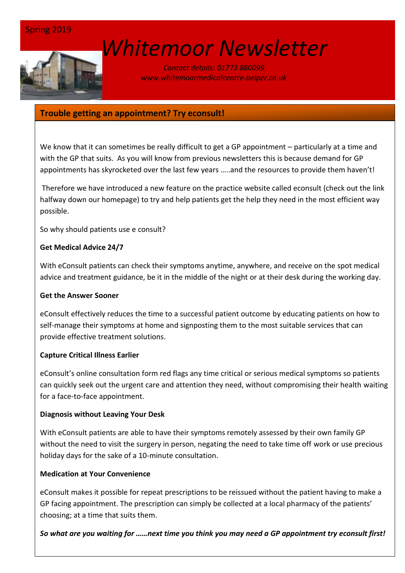# *[W](http://www.google.co.uk/url?sa=i&rct=j&q=&esrc=s&source=images&cd=&cad=rja&uact=8&ved=0ahUKEwin-cyyiKnSAhVEWBQKHSM6ALcQjRwIBw&url=http://www.marsh-associates.org/marsh associates healthcare.html&psig=AFQjCNFsQSs3O1ON_CSbThOIRhZZ0AZsGQ&ust=1488037117603691)hitemoor Newsletter*

#### *Contact details: 01773 880099 www.whitemoormedicalcentre-belper.co.uk*

# **Trouble getting an appointment? Try econsult!**

We know that it can sometimes be really difficult to get a GP appointment - particularly at a time and with the GP that suits. As you will know from previous newsletters this is because demand for GP appointments has skyrocketed over the last few years …..and the resources to provide them haven't!

Therefore we have introduced a new feature on the practice website called econsult (check out the link halfway down our homepage) to try and help patients get the help they need in the most efficient way possible.

So why should patients use e consult?

#### **Get Medical Advice 24/7**

With eConsult patients can check their symptoms anytime, anywhere, and receive on the spot medical advice and treatment guidance, be it in the middle of the night or at their desk during the working day.

#### **Get the Answer Sooner**

eConsult effectively reduces the time to a successful patient outcome by educating patients on how to self-manage their symptoms at home and signposting them to the most suitable services that can provide effective treatment solutions.

#### **Capture Critical Illness Earlier**

eConsult's online consultation form red flags any time critical or serious medical symptoms so patients can quickly seek out the urgent care and attention they need, without compromising their health waiting for a face-to-face appointment.

#### **Diagnosis without Leaving Your Desk**

With eConsult patients are able to have their symptoms remotely assessed by their own family GP without the need to visit the surgery in person, negating the need to take time off work or use precious holiday days for the sake of a 10-minute consultation.

#### **Medication at Your Convenience**

eConsult makes it possible for repeat prescriptions to be reissued without the patient having to make a GP facing appointment. The prescription can simply be collected at a local pharmacy of the patients' choosing; at a time that suits them.

*So what are you waiting for ……next time you think you may need a GP appointment try econsult first!*